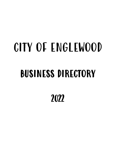# CITY OF ENGLEWOOD BUSINESS DIRECTORY

2022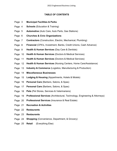## **TABLE OF CONTENTS**

- Page 3 **Municipal Facilities & Parks**
- Page 4 **Schools** (Education & Training)
- Page 5 **Automotive** (Auto Care, Auto Parts, Gas Stations)
- Page 6 **Churches & Civic Organizations**
- Page 7 **Contractors** (Construction, Electric, Mechanical, Plumbing)
- Page 8 **Financial** (CPA's, Investment, Banks, Credit Unions, Cash Advance)
- Page 9 **Health & Human Services** (Day Care & Dentists)
- Page 10 **Health & Human Services** (Doctors & Medical Services)
- Page 11 **Health & Human Services** (Doctors & Medical Services)
- Page 12 **Health & Human Services** (Nursing Centers, Home Care/Assistance)
- Page 13 **Industry & Commerce** (Logistics, Manufacturing & Production)
- Page 14 **Miscellaneous Businesses**
- Page 15 **Lodging & Housing** (Appartments, Hotels & Motels)
- Page 16 **Personal Care** (Barbers, Salons, & Spas)
- Page 17 **Personal Care** (Barbers, Salons, & Spas)
- Page 18 **Pets** (Pet Stores, Services & Veterinarians)
- Page 19 **Professional Services** (Architectural, Technology, Engineering & Attorneys)
- Page 20 **Professional Services** (Insurance & Real Estate)
- Page 21 **Recreation & Activities**
- Page 22 **Restaurants**
- Page 23 **Restaurants**
- Page 24 **Shopping** (Convenience, Department, & Grocery)
- Page 25 **Retail** (Everything Else)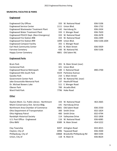## **MUNICIPAL FACILITIES & PARKS**

## **Englewood**

- Englewood City Offices
- Englewood Service Center Englewood Wastewater Treatment Plant
- Englewood Water Treatment Plant
- Englewood POLICE Dept. (Non-Emergency)
- Englewood Fire Station #98
- Englewood Fire Station #99
- Englewood Compost Facility
- Earl Heck Community Center
- 
- Fairview Cemetery
- Happy Corner Cemetery **4801** Old Sale

# **Englewood Parks**

Bruin Park 201 N. Main Street (rear) Centennial Park Englewood Reserve Metropark Englewood Hills South Park 44 Gazebo Park Government Center Park Jake Grossnickle Memorial Park Dr. Michael Bowers Lake Oberer Park Ward Field Park 7796 Hoke Road

## **Other**

| 333 W. National Road | 836-5106      |
|----------------------|---------------|
| 1111 Union Blvd.     | 836-1732      |
| 142 Harrisburg Dr.   | 836-2434      |
| 333 E. Wenger Road   | 836-7620      |
| 333 W. National Road | 836-2678      |
| 333 W. National Road | 836-2399      |
| 1099   Union Blvd.   | 836-5106 x504 |
| 355 E. Wenger Road   |               |
| 201 N. Main Street   | 836-5929      |
| 430 W. National Rd.  | 836-5106      |
| 4801 - Old Salem Rd. |               |

| 201 N. Main Street (rear)  |          |
|----------------------------|----------|
| 321 Union Blvd.            |          |
| 100 E. National Road       | 890-2700 |
| 1324 Parkview Avenue       |          |
| 210 S. Main Street         |          |
| 333 W. National Rd. (rear) |          |
| 137 Heathcliff Road        |          |
| 511 E. Wenger Road         |          |
| 700 Arcadia Blyd.          |          |
| 796 Hoke Road              |          |

| Dayton-Mont. Co. Public Library - Northmont |      | 333 W. National Road             | 463-2665 |
|---------------------------------------------|------|----------------------------------|----------|
| Miami Conservancy Dist. Service Bldg.       |      | 141 Harrisburg Drive             |          |
| Northmont Area Chamber of Commerce          | 4001 | Old Salem Road                   | 836-2550 |
| Ohio Department of Transportation           |      | 300 Smith Drive                  | 832-1824 |
| Ohio Highway Patrol                         |      | 400 Smith Drive                  | 832-4794 |
| Randolph Historical Society                 |      | 114 Valleyview Drive             | 832-1858 |
| U.S. Post Office - Englewood                |      | 116 W. National Road             | 836-6085 |
| Ohio BMV                                    | 8389 | N. Main Street                   | 454-5222 |
| Clay Township                               | 8207 | Arlington Road                   | 833-4015 |
| Clayton, City of                            |      | 6996 Taywood Road                | 836-3500 |
| Phillipsburg, City of                       |      | 10868 Brookville Phillipsburg Rd | 884-5594 |
| Union, City of                              | 118  | N. Main St                       | 836-8624 |
|                                             |      |                                  |          |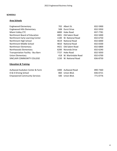## **SCHOOLS**

# **Area Schools**

| <b>Englewood Elementary</b>               | 702. | Albert St.           | 832-5900 |
|-------------------------------------------|------|----------------------|----------|
| Englewood Hills Elementary                |      | 508 Durst Drive      | 832-5950 |
| Miami Valley CTC                          | 6800 | Hoke Road            | 837-7781 |
| Northmont Board of Education              | 4001 | Old Salem Road       | 832-5000 |
| Northmont Early Learning Center           | 1100 | W. National Road     | 832-6750 |
| Northmont High School                     | 4619 | <b>National Road</b> | 832-6000 |
| Northmont Middle School                   | 4810 | <b>National Road</b> | 832-6500 |
| Northmoor Elementary                      | 4421 | Old Salem Road       | 832-6800 |
| Northwoods Elementary                     | 6200 | Noranda Drive        | 832-6240 |
| <b>Transportation Facility - Bus Barn</b> | 7727 | Hoke Road            | 832-5050 |
| <b>Union Elementary</b>                   | 418  | W. Martindale Road   | 832-6700 |
| SINCLAIR COMMUNITY COLLEGE                | 1150 | W. National Road     | 836-8750 |
| <b>Education &amp; Training</b>           |      |                      |          |

| Aullwood Audubon Center & Farm      | 1000 Aullwood Road | 890-7360 |
|-------------------------------------|--------------------|----------|
| D & D Driving School                | 860 Union Blyd.    | 836-0721 |
| <b>Empowered Community Services</b> | 500 Union Blvd.    | 771-0776 |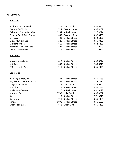## **AUTOMOTIVE**

# **Auto Care**

| <b>Bubble Brush Car Wash</b>          |      | 322 Union Blvd.     | 836-5564 |
|---------------------------------------|------|---------------------|----------|
| Cascade Car Wash                      |      | 714 Taywood Road    | 836-4202 |
| Flying Ace Express Car Wash           |      | 9204 N. Main Street | 927-9274 |
| <b>Grismer Tire &amp; Auto Center</b> |      | 605 Taywood Road    | 832-0435 |
| Jiffy Lube                            |      | 621 S. Main Street  | 832-1466 |
| Midas Muffler Shop                    |      | 525 S. Main Street  | 836-7300 |
| <b>Muffler Brothers</b>               |      | 810 S. Main Street  | 832-5266 |
| <b>Precision Tune Auto Care</b>       |      | 591 S. Main Street  | 771-0140 |
| Seibert Automotive                    |      | 811 S. Main Street  | 771-0721 |
| <b>Auto Parts</b>                     |      |                     |          |
| <b>Advance Auto Parts</b>             |      | 815 S. Main Street  | 836-6674 |
| AutoZone                              |      | 603 S. Main Street  | 540-6010 |
| O'Reilly's Auto Parts                 |      | 911 S. Main Street  | 836-2474 |
| <b>Gas Stations</b>                   |      |                     |          |
| BP of Englewood, Inc.                 |      | 1273 S. Main Street | 836-4565 |
| Englewood Drive Thru & Gas            |      | 709 S. Main Street  | 836-2382 |
| Kroger Fuel Center                    |      | 875 Union Blvd.     | 836-9907 |
| Marathon                              |      | 311 S. Main Street  | 836-1737 |
| <b>Meijers Gas Station</b>            |      | 9210 N. Main Street | 832-5129 |
| Murphy USA                            | 7735 | Hoke Road           | 836-4062 |
| Shell                                 | 113  | S. Main Street      | 771-0018 |
| Speedway                              |      | 711 S. Main Street  | 836-2980 |
| Sunoco                                | 1070 | S. Main Street      | 836-1622 |
| Union Food & Gas                      | 858  | Union Blvd.         | 836-4485 |
|                                       |      |                     |          |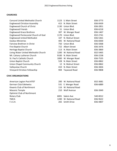## **CHURCHES**

| <b>Concord United Methodist Church</b> |      | 1123 S. Main Street | 836-3773 |
|----------------------------------------|------|---------------------|----------|
| Englewood Christian Assembly           | 415  | N. Main Street      | 836-0439 |
| <b>Englewood Church of Christ</b>      | 1130 | Union Blyd.         | 836-2851 |
| <b>Englewood Friends</b>               | 51   | Union Blvd.         | 836-6218 |
| <b>Englewood Grace Brethren</b>        | 307  | W. Wenger Road      | 836-1467 |
| Englewood Pentecostal Church of God    | 1170 | Union Blvd.         | 832-2741 |
| <b>Englewood United Methodist</b>      | 107  | N. Walnut Street    | 836-5361 |
| <b>Exodus Ministries</b>               | 405  | W. National Road    | 836-8300 |
| Fairview Brethren in Christ            | 750  | Union Blvd.         | 836-5068 |
| First Baptist Church                   | 722  | Albert Street       | 836-3476 |
| Heritage Baptist Church                | 113  | N. Main Street      | 836-3869 |
| Living Water United Methodist Church   | 1200 | W. National Road    | 832-5465 |
| Mt. Calvary Lutheran Church            | 9100 | N. Main Street      | 836-2238 |
| St. Paul's Catholic Church             | 1000 | W. Wenger Road      | 836-7535 |
| Union Baptist Church                   | 528  | N. Main Street      | 836-0862 |
| Union Chapel Community Church          | 12   | N. Walnut Street    | 836-0862 |
| Valleyview Church                      | 410  | N. Main Street      | 836-3826 |
| Vineyard Christian Fellowship          | 904  | Taywood Road        | 836-9808 |
|                                        |      |                     |          |

## **CIVIC ORGANIZATIONS**

| American Legion Post #707         | 200 W. National Road  |
|-----------------------------------|-----------------------|
| German Club Edelweiss             | 531 E. Wenger Road    |
| Kiwanis Club of Northmont         | 116 W. National Road  |
| Masonic Temple                    | 210 Wolf Avenue       |
| <b>Optimist Club of Northmont</b> |                       |
| Rotary Club                       | 6001 Salem Ave        |
| <b>YMCA</b>                       | 1200 W. National Road |
| F.I.S.H.                          | 265 Smith Drive       |

| 51   | Union Blyd.           | 836-6218 |
|------|-----------------------|----------|
|      | 307 W. Wenger Road    | 836-1467 |
| 1170 | Union Blvd.           | 832-2741 |
| 107  | N. Walnut Street      | 836-5361 |
| 405  | W. National Road      | 836-8300 |
| 750  | Union Blvd.           | 836-5068 |
| 722  | <b>Albert Street</b>  | 836-3476 |
| 113  | N. Main Street        | 836-3869 |
|      | 1200 W. National Road | 832-5465 |
| 9100 | N. Main Street        | 836-2238 |
| 1000 | W. Wenger Road        | 836-7535 |
| 528  | N. Main Street        | 836-0862 |
| 12   | N. Walnut Street      | 836-0862 |
| 410  | N. Main Street        | 836-3826 |
| 904  | Taywood Road          | 836-9808 |

| American Legion Post #707         | 200 W. National Road | 832-3681 |
|-----------------------------------|----------------------|----------|
| German Club Edelweiss             | 531 E. Wenger Road   | 836-6889 |
| Kiwanis Club of Northmont         | 116 W. National Road |          |
| Masonic Temple                    | 210 Wolf Avenue      | 836-3949 |
| <b>Optimist Club of Northmont</b> |                      |          |
| Rotary Club                       | 6001 Salem Ave       | 540-0012 |
| <b>VNACA</b>                      | 1200 M Notional Poad | 0260022  |

1200 W. National Road 836-9622 265 Smith Drive 836-4807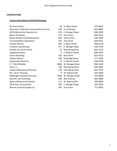## **CONTRACTORS**

# **Construction/Electric/HVAC/Plumbing**

| Air Source One                                  | 18   | N. Main Street          | 474-9847 |
|-------------------------------------------------|------|-------------------------|----------|
| <b>American Trademark Construction Services</b> | 200  | Lau Parkway             | 832-8885 |
| APEX Mechanical Systems Inc.                    |      | 453 E. Wenger Road      | 836-8200 |
| <b>Beeco Plumbing</b>                           | 275  | <b>Huls Drive</b>       | 836-0413 |
| Boone Builders and Restoration                  | 650  | Harco Drive             | 540-1900 |
| <b>Carra Building Corporation</b>               | 335  | <b>Huls Drive</b>       | 836-0251 |
| Clayton Electric                                | 405  | S. Main Street          | 836-0219 |
| <b>Creative Countertops</b>                     | 477  | E. Wenger Road          | 238-3766 |
| Double Jay Construction                         | 25   | Harrisburg Drive        | 832-3123 |
| <b>Englewood Glass</b>                          | 9    | S. Walnut Street        | 836-4441 |
| <b>Evans Plumbing</b>                           | 355  | <b>Huls Drive</b>       | 832-8723 |
| Garber Electric                                 | 100  | Rockridge Road          | 771-5202 |
| <b>Gostomsky Masonry</b>                        | 14   | S. Walnut Street        | 836-0738 |
| J.T. Tile & Marble                              | 4860 | W. Wenger Road          | 836-1444 |
| Kuck, J.L.                                      | 100  | Harrisburg Drive        | 836-0081 |
| <b>Leonard Mechanical Services</b>              | 145  | <b>Harrisburg Drive</b> | 832-7070 |
| M.L. Dunn Flooring                              | 8    | W. National Rd          | 264-3000 |
| Millwright Industrial Services                  | 4500 | W. Wenger Road          | 529-8090 |
| Schmitt, Joe Plumbing                           | 500  | Alta Avenue             | 836-3086 |
| <b>Spears Mechanical Systems</b>                | 123  | W. National Rd          | 540-9093 |
| TB & Sons Construction                          | 405  | E. Wenger Road          | 305-3029 |
| Warren Pump & Supply Co.                        |      | 345 Huls Drive          | 771-0055 |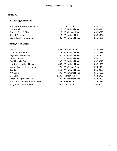## **FINANCIAL**

# **Accounting/Investment**

| Ault, Henderson & Lewis CCPA's  | 310 Union Blvd.      | 836-2163 |
|---------------------------------|----------------------|----------|
| H & R Block                     | 320 W. National Road | 836-3541 |
| Kruezer, Fred P. CPA            | 5 W. Wenger Road     | 832-0620 |
| Roth & Company                  | 215 W. National Rd.  | 836-9984 |
| <b>Edward Jones Investments</b> | 705 W. National Road | 836-5806 |

# **Banks/Credit Unions**

| <b>CHASE</b>                      | 604  | Taywood Road         | 836-2658 |
|-----------------------------------|------|----------------------|----------|
| Code Credit Union                 |      | 415 W. National Road | 341-7985 |
| <b>Eagle Financial Services</b>   | 500  | W. National Road     | 836-1400 |
| Fifth-Third Bank                  | 310  | W. National Road     | 836-2605 |
| <b>First Financial Bank</b>       |      | 330 W. National Road | 832-0043 |
| Huntington National Bank          | 800  | W. National Road     | 832-2521 |
| Incenta Federal Credit Union      |      | 175 W. Wenger Road   | 223-4943 |
| <b>KEY Bank</b>                   |      | 511 W. National Road | 836-0928 |
| <b>PNC Bank</b>                   |      | 175 W. National Road | 836-5156 |
| U.S. Bank                         | 9200 | N. Main Street       | 832-2722 |
| Union Savings Bank (USB)          |      | 525 W. National Road | 832-8200 |
| Wood Forest Bank (inside WalMart) |      | 7725 Hoke Road       | 836-4789 |
| Wright Patt Credit Union          | 950  | Union Bvld.          | 762-0047 |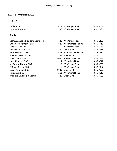## **HEALTH & HUMAN SERVICES**

# **Day Care**

| Kinder Care      | 418 W. Wenger Road | 836-8002 |
|------------------|--------------------|----------|
| LaPetite Academy | 100 W. Wenger Road | 832-2891 |

# **Dentists**

| DeMoss, Angela (Pediatric Dentistry) |      | 120 W. Wenger Road       | 836-1206 |
|--------------------------------------|------|--------------------------|----------|
| <b>Englewood Dental Center</b>       |      | 625 W. National Road #B  | 836-7911 |
| Espeleta, Karl DDS                   | 110  | W. Wenger Road           | 836-6066 |
| <b>Family Care Dentistry</b>         | 320  | Union Blvd.              | 836-3565 |
| Fanz, Beverly J., DDS                |      | 625 W. National Road #B  | 836-7911 |
| <b>Hoke Road Dental Care</b>         |      | 7701 Hoke Road           | 832-8000 |
| Hurst, James DDS                     |      | 9000 N. Main Street #207 | 836-7282 |
| Luna, Kimberly DDS                   |      | 214 W. National Road     | 836-4747 |
| McKinney, Theresa DDS                |      | 16 W. Wenger Road        | 836-9631 |
| O'Brien, Brenda DDS                  |      | 16 W. Wenger Road        | 832-2087 |
| Shaw, Randolph DDS                   | 1080 | Union Blvd.              | 836-7592 |
| Shira, Ross DDS                      |      | 211 W. National Road     | 836-3117 |
| Vitangeli, Dr. Louis & Dominic       | 320  | Union Blvd.              | 836-3565 |
|                                      |      |                          |          |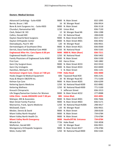## **Doctors- Medical Services**

| Advanced Cardiology - Suite #200                | 9000 | N. Main Street                 | 832-1095 |
|-------------------------------------------------|------|--------------------------------|----------|
| Bernie, Bruce J. MD                             |      | 16 W. Wenger Road              | 836-9914 |
| Bone & Joint Surgeons Inc. - Suite #303         | 9000 | N. Main Street                 | 836-3118 |
| Chunduri, Ramamohan MD                          |      | 1230 Union Blvd.               | 836-7130 |
| Clark, Robert W. DO                             |      | 12 W. Wenger Road #6           | 836-1288 |
| Collins, Donald MD                              |      | 211 W. National Road           | 208-8100 |
| Dayton Head & Neck Surgeons                     | 9000 | N. Main Street #201            | 832-1772 |
| Dayton Orthopedic Center                        |      | 9000 N. Main Street #401       | 836-4042 |
| Deenadayalu, Paul R. MD                         |      | 120 W. Wenger Road             | 836-9921 |
| Dermatologists of Southwest Ohio                |      | 9000 N. Main Street #321       | 836-0500 |
| Derrick, Dava Family Medical Care #400          |      | 1250 W. National Road          | 836-5165 |
| <b>Englewood After Hrs. Care. Opens 6:30 pm</b> |      | 9000 9000 N. Main (Rear)       | 836-7211 |
| <b>Englewood Health Center</b>                  |      | 1250 W. National Road          | 836-5402 |
| Family Physicians of Englewood Suite #300       | 9000 | N. Main Street                 | 836-5100 |
| <b>First Care</b>                               | 650  | <b>Harco Drive</b>             | 540-1882 |
| Gem City Surgical Assoc.                        |      | 9000 N. Main Street #233       | 832-9310 |
| <b>Gem City Urologists</b>                      |      | 9000 N. Main Street #333       | 832-8400 |
| Hamilton, Michael E. MD                         | 5    | N. Main Street                 | 836-1141 |
| Hometown Urgent Care. Closes at 7:00 pm         | 7709 | <b>Hoke Road</b>               | 836-4000 |
| Hooks Oxygen & Medical Equipment                |      | 606 Taywood Road #20           | 836-2141 |
| Huey & Weprin OB/GYN Inc.                       |      | 20 W. Wenger Road #2           | 771-5100 |
| Kelman Eye Care                                 | 9000 | N. Main Street #205            | 836-6299 |
| <b>Kettering Sports Medicine</b>                |      | 1250 W. National Road #200     | 832-8982 |
| <b>Kettering Wellness</b>                       |      | 1250 W. National Road #300     | 771-5100 |
| Kreusch Chiropractic                            | 5    | Jefferson Street               | 836-3313 |
| Life Stages/Samaritan Centers for Women         | 9000 | N. Main Street #232            | 277-8988 |
| Little Clinic - Inside KROGERS Until 7:30 pm    |      | 885 Union Blvd.                | 832-4091 |
| Mahajan, MK & Associates                        | 9000 | N. Main Street #301            | 836-7666 |
| <b>Main Street Family Practice</b>              | 9000 | N. Main Street #403            | 836-5171 |
| Mannarino, Frank, Sports Medicine               |      | 1250 W. National Road #100A    | 298-4417 |
| McDowell, Claire                                |      | 120 W. Wenger Road             | 836-9921 |
| Mesker, Dennis & David                          | 9000 | N. Main Street                 | 208-8100 |
| Miami Valley North Hospital                     | 9000 | N. Main Street                 | 734-6784 |
| Miami Valley North Health Ctr.                  |      | 9000 N. Main Street            | 276-6784 |
| <b>Miami Valley North Emergency</b>             | 9000 | <b>Heathcliff Rd. Entrance</b> | 734-8784 |
| Miracle Ear                                     |      | 7726 Hoke Road                 | 550-3058 |
| Molfenter, Gerald MD                            |      | 120 W. Wenger Road             | 836-9921 |
| Montgomery Orthopedic Surgeons                  | 9000 | N. Main Street #227            | 278-4784 |
| Mote, Evelyn MD                                 |      | 1250 W. National Road #400     | 836-5165 |
|                                                 |      |                                |          |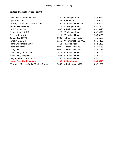# **Doctors- Medical Services - cont'd**

| Northwest Dayton Pediatrics           | 120  | W. Wenger Road        | 836-9921 |
|---------------------------------------|------|-----------------------|----------|
| <b>Optical Fashions</b>               | 7728 | Hoke Road             | 832-0044 |
| Osborn, Claire Family Medical Care    | 1250 | W. National Road #400 | 836-5165 |
| Palmer, Gary & Greg                   | 5.   | W. Wenger Road        | 832-7555 |
| Paul, Douglas DO                      | 9000 | N. Main Street #233   | 832-9310 |
| Pelsor, Donald A. MD                  | 120  | W. Wenger Road        | 832-9921 |
| Petry, Jeffrey MD                     | 211  | W. National Road      | 208-8100 |
| Ramig, David DPM                      | 9000 | N. Main Street #203   | 435-6585 |
| Sandhir, Bihu MD                      | 1250 | W. National Road #700 | 836-5402 |
| <b>Shank Chiropractic Clinic</b>      | 713  | Taywood Road          | 558-1256 |
| Sobol, Todd MD                        | 9000 | N. Main Street #303   | 836-8063 |
| Stein, Alvin                          | 9000 | N. Main Street #303   | 836-8063 |
| Studebaker, James D. OD               | 639  | W. National Road      | 836-3041 |
| Studebaker, Joseph OD                 | 639  | W. National Road      | 836-3041 |
| Teague, Albert Chiropractor           | 100  | W. National Road      | 832-1000 |
| <b>Urgent Care. Until 10:00 pm</b>    | 1130 | <b>S. Main Street</b> | 208-6879 |
| Weinburg, Marcus Cardio Medical Group | 9000 | N. Main Street #402   | 832-2661 |
|                                       |      |                       |          |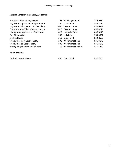# **Nursing Centers/Home Care/Assistance**

| Brookdale Place of Englewood                 |      | 95 W. Wenger Road      | 836-9617 |
|----------------------------------------------|------|------------------------|----------|
| <b>Englewood Square Senior Apartments</b>    |      | 150 Chris Drive        | 836-4117 |
| Englewood Village Apts. for the Ederly       | 1000 | Taywood Road           | 836-0339 |
| <b>Grace Brethren Village Senior Housing</b> | 1010 | Taywood Road           | 836-4011 |
| Liberty Nursing Center of Englewood          |      | 425 Lauricella Court   | 836-5143 |
| Pink Ribbon Girls                            |      | 350 Huls Drive         | 269-5367 |
| <b>Sterling House</b>                        |      | 350 Union Blvd.        | 832-8500 |
| <b>Trilogy "Memory Care" Facility</b>        | 590  | W. National Road       | 836-3149 |
| <b>Trilogy "Skilled Care" Facility</b>       | 600. | W. National Road       | 836-3149 |
| Visiting Angels Home Health Acre             |      | 15 W. National Road #1 | 855-7777 |

## **Funeral Homes**

Kindred Funeral Home **400 Union Blvd. 832-2600** Union Blvd. 832-2600 Union Blvd. 832-26000 Union Blvd. 832-2600

| 400 Union Blvd. | 832-2600 |
|-----------------|----------|
|                 |          |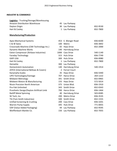# **INDUSTRY & COMMERCE**

| Amazon Distribution Warehouse |  | 45 Lau Parkway |
|-------------------------------|--|----------------|
|-------------------------------|--|----------------|

- 
- 

# **Manufacturing/Production**

| 15 Lau Parkway |
|----------------|
|----------------|

Dayton Origin **30 Lau Parkway** 30 Lau Parkway 832-9530 Hart & Cooley **1 Lau Parkway** 832-7800

| <b>Apex Mechanical Systems</b>           |               | 453 E. Wenger Road      | 836-8200 |
|------------------------------------------|---------------|-------------------------|----------|
| C & W Swiss                              | 100           | Metro                   | 836-3842 |
| Crossroads Machine (CMI Technology Inc.) | 65            | Haas Drive              | 832-2000 |
| Dynamic Machine Works                    | 140           | Harrisburg Drive        |          |
| Eaton Compressor (Airbase Industries)    | 1000          | <b>Cass Drive</b>       | 540-1140 |
| <b>Faraday Technology</b>                | 315           | <b>Huls Drive</b>       | 836-7749 |
| <b>GAPI USA</b>                          | 300           | <b>Huls Drive</b>       | 836-0080 |
| Hart & Cooley                            | $\mathbf{1}$  | Lau Parkway             | 832-7800 |
| Hematite                                 | 300           | Lau Parkway             |          |
| <b>Homestretch Automation</b>            | 140           | Harrisburg Drive        | 540-1914 |
| JOYCE (International Bellows & Covers)   | $\mathcal{P}$ | <b>Ferrari Court</b>    |          |
| Kananwha Scales                          | 35            | Haas Drive              | 836-5440 |
| LIPO Technologies/Vantage                | 707           | Harco Drive             | 264-1222 |
| <b>Midwest Metrology</b>                 |               | 341 Smith Drive         | 832-0965 |
| Midwest Motors & Manufacturing           | 155           | Haas Drive              | 572-5014 |
| <b>Nissin Precision North American</b>   | 375           | Union Blvd.             | 836-1910 |
| Pro-Fab Unlimited                        | 343           | <b>Smith Drive</b>      | 832-0343 |
| Prosthetic Design/Dayton Artificial Limb | 700           | Harco Drive             | 836-1464 |
| <b>Ratliff Metal Spinning</b>            | 40            | <b>Harrisburg Drive</b> | 503-8385 |
| SK Tech, Inc.                            | 200           | <b>Metro Drive</b>      | 836-3535 |
| TSI (Tom Smith Industries)               | 500           | <b>Smith Drive</b>      | 832-1555 |
| Unified Screening & Crushing             | 200           | <b>Cass Drive</b>       | 836-3201 |
| <b>Warren Pump Supply</b>                | 345           | <b>Huls Drive</b>       | 771-0055 |
| VAP (Value Added Packaging)              | 44            | Lau Parkway             | 832-9595 |
| Weiffenbach Marble Co.                   | 150           | Lau Parkway             | 832-7055 |
|                                          |               |                         |          |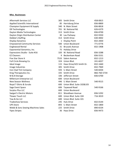# **Misc. Businesses**

| <b>Aftermath Services LLC</b>       |    | 305 Smith Drive               | 458-0815     |
|-------------------------------------|----|-------------------------------|--------------|
| Applied Scientific International    |    | 85 Harrisburg Drive           | 836-8800     |
| Champion Equipment & Supply         |    | 340 N. Main Street            | 836-8818     |
| D9 Technologies                     |    | 701 W. National Rd.           | 626-6379     |
| Dayton Media Technologies           |    | 313 Smith Drive               | 836-8700     |
| Dayton Origin Distribution Center   |    | 30 Lau Parkway                | 832-9350     |
| Debbie's Staffing                   |    | 313 Smith Drive               | 630-4002     |
| <b>Display Dynamics</b>             |    | 1 Display Point               | 832-2830     |
| <b>Empowered Community Services</b> |    | 500 Union Boulevard           | 771-0776     |
| <b>Englewood Rental</b>             |    | 31 Brussels Avenue            | 832-1908     |
| Exponential Genomics, Inc.          |    | 75 Holiday Drive              |              |
| Expressions Studio - Suite #16      |    | 320 W. National Road          | 836-3288     |
| <b>EZ Cleaners</b>                  | 9  | Beckenham Road                | 836-5531     |
| Five Star Store It                  |    | 7533 Salem Avenue             | 832-1213     |
| Full Circle Brewing Co.             |    | 324 Union Blvd.               | 241-6027     |
| Ideal Image                         |    | 115 Haas Drive/425 Smith Dr.  | 832-1660     |
| Image Industries                    |    | 305 Smith Drive               | 832-7969     |
| Iron Clad Tint Company              |    | 593 S. Main Street            | 540-8204     |
| Kreg Therapeutics Inc.              |    | 335 Smith Drive               | 866-760-5734 |
| M & B Storage                       |    | 106 Jefferson Street          | 836-6700     |
| Millenium Enterprise LLC            |    | 600 Union Boulevard           |              |
| <b>New Season Wellness</b>          |    | 446 S. Main Street            | 540-9515     |
| Royal T-Shirts & Scrubs             |    | 600 Union Blvd. Suite 102&103 |              |
| Sage Event Space                    |    | 606 Taywood Road              | 540-9166     |
| <b>Surplus Plus LLC</b>             |    | 600 Union Boulevard           |              |
| <b>Swigart's Electric Motors</b>    |    | 811 Woodlawn Avenue           | 836-5292     |
| <b>Tlowez Touch LLC</b>             |    | 600 Union Blvd. Suite 104     | 716-3019     |
| Tow & Go LLC                        |    | 600 Union Blvd. Suite 101     |              |
| <b>Tradeshow Services</b>           |    | 245 Huls Drive                | 832-0144     |
| <b>UPS Store</b>                    |    | 893 S. Main Street            | 832-1800     |
| Webb & Sons Sewing Machines Sales   |    | 225 Smith Drive               | 890-6534     |
| <b>Yipes Stripes</b>                | 36 | <b>Haas Drive</b>             | 836-9473     |
|                                     |    |                               |              |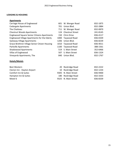## **LODGING & HOUSING**

# **Apartments**

| Carriage House of Englewood                        | 601  | W. Wenger Road      | 832-1875 |
|----------------------------------------------------|------|---------------------|----------|
| <b>Cedargate Apartments</b>                        | 701  | Union Blvd.         | 832-2884 |
| The Chatteau                                       | 711  | W. Wenger Road      | 832-0870 |
| <b>Chestnut Woods Apartments</b>                   |      | 124 Chestnut Street | 241-8145 |
| <b>Englewood Square Senior Citizens Apartments</b> |      | 150 Chris Drive     | 836-4117 |
| Englewood Village Apartments for the Ederly        |      | 1000 Taywood Road   | 836-0339 |
| <b>Gateway Village Apartments</b>                  |      | 1206 Union Blvd.    | 836-8239 |
| Grace Brethren Village Senior Citizen Housing      |      | 1010 Taywood Road   | 836-4011 |
| <b>Parkville Apartments</b>                        | 1100 | Taywood Road        | 388-1561 |
| <b>Shadowood Apartments</b>                        |      | 519 S. Main Street  | 352-6466 |
| Villas of Englewood                                | 507  | S. Main Street      | 836-1324 |
| Vineyards Apartments, The                          | 840  | Union Blvd.         | 832-1767 |

# **Hotels/Motels**

| <b>Best Western</b>          | 20 Rockridge Road   | 832-2222 |
|------------------------------|---------------------|----------|
| Clarion Inn - Dayton Airport | 10 Rockridge Road   | 832-1234 |
| Comfort Inn & Suites         | 9305 N. Main Street | 836-9400 |
| Hampton Inn & Suites         | 180 Rockridge Road  | 832-3333 |
| Motel 6                      | 9325 N. Main Street | 836-8339 |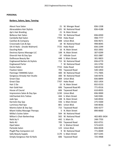## **PERSONAL**

# **Barbers, Salons, Spas, Tanning**

| <b>About Face Salon</b>                 |      | 21 W. Wenger Road     | 836-1338     |
|-----------------------------------------|------|-----------------------|--------------|
| Abracadabra Hair Stylists               |      | 101 W. National Road  | 836-4188     |
| Aje's Hair Braiding                     | 21   | N. Main Street        |              |
| Bellezza Hair Salon                     | 725  | W. National Road      | 836-6930     |
| Cambella Nail Salon                     |      | 7704 Hoke Road        | 998-7777     |
| Castilian & Company                     |      | 848 Union Blvd.       | 836-9671     |
| Crossroads Cuts & Spa                   | 18   | W. National Road      | 998-8045     |
| DA-VI Nails - (Inside Walmart)          | 7725 | Hoke Road             | 836-2299     |
| <b>Dazzling Nails</b>                   | 16   | N. Main Street        | 832-2002     |
| Destress Xpress Massage LLC             | 108  | N. Main Street        | 307-0299     |
| Diversiti Hair & Day Spa                | 37   | <b>Hillside Court</b> | 832-2887     |
| Dollhouse Beauty Bar                    | 448  | S. Main Street        | 301-9823     |
| <b>Englewood Barbers &amp; Stylists</b> |      | 715 W. National Road  | 836-6779     |
| <b>Englewood Parlor</b>                 | 7    | W. National Road      | 241-5792     |
| <b>Evolve Salon</b>                     |      | 7722 Hoke Road        | 540-8730     |
| <b>Fixation Salon</b>                   |      | 705 Taywood Road      | 540-1850     |
| Flamingo TANNING Salon                  |      | 400 W. National Road  | 771-7005     |
| Gorgeous Already Hair Studio            |      | 300 W. National Road  | 540-9476     |
| <b>Great Clips</b>                      | 809  | Union Blvd.           | 836-8899     |
| <b>Great Clips</b>                      |      | 7707 Hoke Road        | 832-1454     |
| Hair 2 Do                               | 15   | N. Main Street        | 832-0153     |
| Hair Gold Hair                          | 606  | Taywood Road #5       | 771-0516     |
| House of Caurel                         |      | 606 Taywood Road      | 610-8935     |
| Impressions Salon & Day Spa             |      | 1230 Union Blvd.      | 836-9000     |
| <b>InkChanted Arts Tattoo</b>           |      | 444 S. Main Street    | 540-9381     |
| Jade Spa                                | 108  | N. Main Street        | 540-8934     |
| Karmels Day Spa                         |      | 556 S. Main Street    | 275-5500     |
| Luminous Nail Spa                       |      | 801 Union Blvd.       | 540-8036     |
| Mantra Salon & Day Spa                  |      | 715 Taywood Road      | 836-4277     |
| Miami Valley Massage Therapy            |      | 5 N. Main Street      | 890-8660     |
| Milika's Suites Salon                   |      | 504 W. National Road  |              |
| Milton's Chair Barbershop               | 502  | W. National Road      | 402-805-3434 |
| Nails by V                              | 442  | S. Main St.           | 248-7703     |
| Nails 4U                                | 705  | Taywood Road          | 832-0751     |
| Opal Salon                              | 10   | S. Walnut Street      | 573-6223     |
| Parkside Salon                          | 123  | Union Blvd.           | 836-0028     |
| <b>PlugN Play Computers LLC</b>         | 9    | W. National Road      | 771-0049     |
| <b>Sally Beauty Supply</b>              | 1170 | S. Main Street        | 837-5245     |
| Simply Gorgeous Hair & Nails            | 606  | Taywood Road          | 725-4968     |
|                                         |      |                       |              |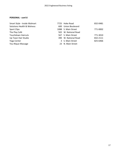# **PERSONAL - cont'd**

| Smart Style - Inside Walmart | 7725 Hoke Road       | 832-0481 |
|------------------------------|----------------------|----------|
| Solutions Health & Welness   | 600 Union Boulevard  |          |
| <b>Sport Clips</b>           | 1088 S. Main Street  | 771-0002 |
| The Play Café                | 502 W. National Road |          |
| Touchdown Haircuts           | 567 S. Main Street   | 771-3010 |
| Up Town Hair Studio          | 390 W. National Road | 832-2111 |
| Yoga Center                  | 3 S. Main Street     | 825-6466 |
| You-Nique Massage            | 23 N. Main Street    |          |
|                              |                      |          |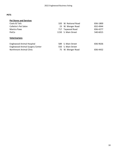## **PETS**

| <b>Pet Stores and Services</b>   |                      |          |
|----------------------------------|----------------------|----------|
| Coats & Tails                    | 320 W. National Road | 836-1800 |
| <b>Collette's Pet Salon</b>      | 23 W. Wenger Road    | 832-4944 |
| Mantra Paws                      | 717 Taywood Road     | 836-4277 |
| PetCo                            | 1150 S. Main Street  | 540-6015 |
| <b>Veterinarians</b>             |                      |          |
| <b>Englewood Animal Hospital</b> | 589 S. Main Street   | 836-9636 |

Englewood Animal Surgery Center **550** S. Main Street

Northmont Animal Clinic **75 W. Wenger Road** 836-4432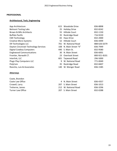## **PROFESSIONAL**

# **Architectural, Tech, Engineering**

- Belmont Testing Labs Brown & Bills Architects
- Buffalo Pacific
- CMI Technology
- 
- Creative Micro Systems
- D9 Technologies LLC
- Dayton Cincinnati Technology Services
- Digital Cowboy Computers
- Englewood Communications
- Frontier, Norwalk CT. Interlink, LLC
- Plugn Play Computers LLC
- 
- Riancho, Luis & Associates

## **Attorneys**

| Coate, Brandon           |
|--------------------------|
| Coate Law Office         |
| Crowell, Larry           |
| Treherne, James          |
| <b>Turner Law Office</b> |

| App Architecture                      |     | 615 Woodside Drive     | 836-8898     |
|---------------------------------------|-----|------------------------|--------------|
| <b>Belmont Testing Labs</b>           |     | 25 Holiday Drive       | 832-8242     |
| Brown & Bills Architects              |     | 55 Hillside Court      | 832-1150     |
| <b>Buffalo Pacific</b>                |     | 35 Rockridge Road      | 716-9220     |
| <b>CMI Technology</b>                 | 65  | Haas Drive             | 832-2000     |
| <b>Creative Micro Systems</b>         |     | 52 Hillside Court      | 836-4499     |
| D9 Technologies LLC                   |     | 701 W. National Road   | 888-626-6379 |
| Dayton Cincinnati Technology Services |     | 108 N. Main Street "K" | 836-7949     |
| Digital Cowboy Computers              |     | 440 S. Main St.        | 832-9580     |
| <b>Englewood Communications</b>       | 30  | N. Main Street         | 836-6001     |
| Frontier, Norwalk CT.                 |     | 23 Overlook Street     | 800-921-8101 |
| Interlink, LLC                        |     | 601 Taywood Road       | 296-5000     |
| <b>Plugn Play Computers LLC</b>       | 9   | W. National Road       | 771-0049     |
| PolyCom                               |     | 35 Rockridge Road      | 832-8407     |
| Riancho, Luis & Associates            | 140 | W. Wenger Road         | 836-1585     |
|                                       |     |                        |              |

| Coate Law Office  | 4 N. Main Street     | 836-4357 |
|-------------------|----------------------|----------|
| Crowell, Larry    | 207 S. Main Street   | 836-1013 |
| Treherne, James   | 212 W. National Road | 836-3296 |
| Turner Law Office | 207 S. Main Street   | 832-0288 |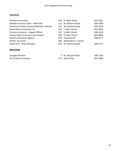## **Insurance**

All About Insurance 103 N. Main Street 832-2821 Allstate Insurance Sales - Mike Hild 113 W. National Road 836-3300 American Family Insurance/McClean-Johnson 107 W. National Road 836-9244 Boord-Henne Insurance Co. 915 S. Main Street 832-4001 Farmers Insurance - Angela Clifford 207 S. Main Street 280-4144 Horace Mann Insurance (Joy Harper) 108 N. Main Street 832-4884 Katechis Insurance Agency **120 Statechis Insurance Agency** 13 September 2010 Taywood Rd. Shelter Insurance 609 Woodside Dr. Suite B State Farm - Brian Benedict **625 W. National Road** 836-7711

## **Real**

| <b>Real Estate</b>   |                  |          |
|----------------------|------------------|----------|
| Irongate Realtors    | 5 W. Wenger Road | 540-1234 |
| The JS Davis Company | 317 Smith Drive  | 832-4900 |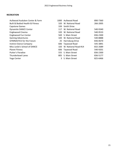## **RECREATION**

- Aullwood Audubon Center & Farm 1000 Aul
- Built & Bodied Health & Fitness
- Capstone Games
- Dynamite DANCE Center
- Englewood Cinema
- Englewood Fun Center
- Gaming Adventures
- GYMNASTICS for the Future
- Instinct Dance Company
- Miss Leslie's School of DANCE
- Planet Fitness
- Putter's Paradise
- Thunderbowl Lanes
- Yoga Center

| 1000. | Aullwood Road        | 890-7360 |
|-------|----------------------|----------|
|       | 320 W. National Road | 266-2005 |
|       | 339 Smith Drive      |          |
| 117   | W. National Road     | 540-9340 |
|       | 320 W. National Road | 540-9533 |
|       | 569 S. Main Street   | 836-2300 |
|       | 320 W. National Road | 540-8888 |
|       | 25 Harrisburg Drive  | 836-0670 |
| 606   | Taywood Road         | 545-3891 |
| 320.  | W. National Road #14 | 832-2689 |
| 606   | Taywood Road         | 540-9201 |
|       | 555 S. Main Street   | 836-2300 |
|       | 805 S. Main Street   | 836-5177 |
|       | 3 S. Main Street     | 825-6466 |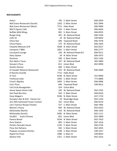## **RESTAURANTS**

| Arby's                              |      | 705 S. Main Street       | 836-2034 |
|-------------------------------------|------|--------------------------|----------|
| <b>Bob Evans Restaurant (South)</b> |      | 1202 S. Main Street      | 832-2844 |
| Bob Evans Restaurant (West)         |      | 7715 Hoke Road           | 836-9900 |
| <b>BOLTS Sports Café</b>            |      | 910 S. Main Street       | 836-6634 |
| <b>Buffalo Wild Wings</b>           |      | 891 S. Main Street       | 836-8555 |
| <b>Burger King</b>                  |      | 301 W. National Road     | 836-2244 |
| Café 19                             |      | 19 W. National Road      | 540-9654 |
| China Star                          |      | 606 Taywood Road         | 836-7678 |
| China Palace                        |      | 375 W. National Road     | 836-1054 |
| Chipotle Mexican Grill              |      | 9208 N. Main Street      | 832-0227 |
| Company 7 BBQ                       |      | 1001 S. Main Street      | 836-2777 |
| Courtyard Lounge                    |      | 320 W. National Road #11 | 836-9511 |
| Dairy Queen                         |      | 29 N. Main Street        | 836-2473 |
| Dominos                             | 590  | S. Main Street           | 832-1336 |
| Don Neto's Tacos                    |      | 107 W. National Road     | 305-5869 |
| Donato's Pizza                      |      | 811 Union Blvd.          | 832-9999 |
| <b>Dunkin Donuts</b>                |      | 849 S. Main Street       |          |
| El Cazador Mexican Restaurant       |      | 555 W. National Road     | 836-5004 |
| El Rancho Grande                    |      | 7712 Hoke Road           |          |
| El Toro                             | 9190 | N. Main Street           | 415-0940 |
| <b>Firehouse Subs</b>               |      | 1092 S. Main Street      | 771-0806 |
| Frisch's Big Boy                    |      | 1095 S. Main Street      | 836-0906 |
| Fox's Pizza                         |      | 606 Taywood Road         | 540-9613 |
| Full Circle Brewgarden              |      | 324 Union Blvd.          |          |
| Home Sweet Home Café                |      | 320 W. National Road     | 832-2765 |
| <b>Hot Head Burritos</b>            |      | 563 S. Main Street       | 836-8226 |
| Huey Magoo's                        |      | 9196 N. Main Street      | 637-1710 |
| Humpty's Bar & Grill - Clarion Inn  |      | 10 Rockridge Road        | 832-1234 |
| JD's Old Fashioned Frozen Custard   |      | 322 Union Blvd.          | 836-9219 |
| Lee's Famous Recipe Chicken         |      | 527 S. Main Street       | 836-7905 |
| <b>Marion's Piazza</b>              |      | 404 W. National Road     | 832-0333 |
| McDonalds (North)                   |      | 410 W. National Road     | 836-1505 |
| McDonalds (South)                   |      | 9285 N. Main Street      | 832-1111 |
| Ozu852<br>Sushi-Chinese             |      | 852 Union Blvd.          | 832-3000 |
| Panera Bread                        |      | 9194 N. Main Street      | 832-7919 |
| <b>Penn Station</b>                 |      | 895 S. Main Street       | 832-1616 |
| Perkins Pancake House               |      | 1235 S. Main Street      | 836-2726 |
| Pizza Hut Delivery                  |      | 565 S. Main Street       | 832-3435 |
| Popeyes Louisiana Kitchen           |      | 1100 S. Main Street      | 540-1017 |
| Rapid Fire Pizza                    |      | 1080 S. Main St          | 540-8033 |
| Skyline Chili                       |      | 1321 S. Main Street      | 832-3222 |
|                                     |      |                          |          |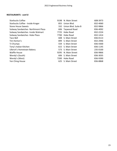## **RESTAURANTS - cont'd**

| <b>Starbucks Coffee</b>           | 9198 | N. Main Street      | 608-3973 |
|-----------------------------------|------|---------------------|----------|
| Starbucks Coffee - Inside Kroger  |      | 855 Union Blvd.     | 832-4060 |
| <b>Stone House Sweets</b>         | 332  | Union Blvd. Suite B | 832-9866 |
| Subway Sandwiches Northmont Plaza | 606  | Taywood Road        | 836-4092 |
| Subway Sandwiches Inside Walmart  | 7725 | <b>Hoke Road</b>    | 832-2224 |
| Subway Sandwiches Hoke Plaza      | 7700 | Hoke Road           | 832-1414 |
| Taco Bell                         |      | 608 S. Main Street  | 836-0113 |
| Tim Horton's                      | 899  | S. Main Street      | 832-2946 |
| TJ Chumps                         |      | 559 S. Main Street  | 836-4300 |
| Tony's Italian Kitchen            |      | 615 S. Main Street  | 836-1145 |
| Ulbrich's Hometown Bakery         |      | 573 S. Main Street  | 235-0100 |
| <b>Waffle House</b>               | 9295 | N. Main Street      | 836-9866 |
| Wendy's (South)                   | 606  | S. Main Street      | 836-3035 |
| Wendy's (West)                    | 7200 | Hoke Road           | 836-9390 |
| Yen Ching House                   |      | 625 S. Main Street  | 836-8868 |
|                                   |      |                     |          |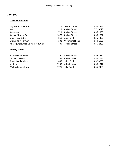## **SHOPPING**

# **Convenience Stores**

| <b>Englewood Drive Thru</b>         | 711 Taywood Road     | 836-2337 |
|-------------------------------------|----------------------|----------|
| Shell                               | 113 S. Main Street   | 771-0018 |
| Speedway                            | 711 S. Main Street   | 836-2980 |
| Sunoco (Stop-N-Go)                  | 1070 S. Main Street  | 836-1622 |
| Union Food & Gas                    | 858 Union Blvd.      | 836-4485 |
| <b>United Dairy Farmers</b>         | 501 W. National Road | 540-1056 |
| Valero (Englewood Drive Thru & Gas) | 709 S. Main Street   | 836-2382 |

# **Grocery Stores**

| <b>ALDI Discount Foods</b> | 1190 S. Main Street | 955-2534 |
|----------------------------|---------------------|----------|
| King Kold Meats            | 331 N. Main Street  | 836-2731 |
| Kroger Marketplace         | 885 Union Blvd.     | 832-4060 |
| <b>Meijers</b>             | 9200 N. Main Street | 836-1017 |
| <b>WalMart Super Store</b> | 7725 Hoke Road      | 836-9405 |